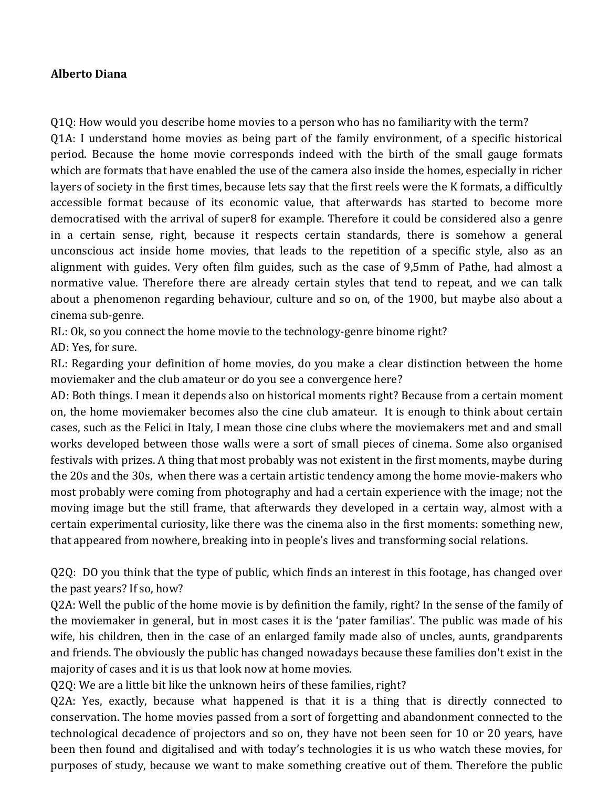## **Alberto Diana**

O10: How would you describe home movies to a person who has no familiarity with the term? Q1A: I understand home movies as being part of the family environment, of a specific historical period. Because the home movie corresponds indeed with the birth of the small gauge formats which are formats that have enabled the use of the camera also inside the homes, especially in richer layers of society in the first times, because lets say that the first reels were the K formats, a difficultly accessible format because of its economic value, that afterwards has started to become more democratised with the arrival of super8 for example. Therefore it could be considered also a genre in a certain sense, right, because it respects certain standards, there is somehow a general unconscious act inside home movies, that leads to the repetition of a specific style, also as an alignment with guides. Very often film guides, such as the case of 9,5mm of Pathe, had almost a normative value. Therefore there are already certain styles that tend to repeat, and we can talk about a phenomenon regarding behaviour, culture and so on, of the 1900, but maybe also about a cinema sub-genre.

RL: Ok, so you connect the home movie to the technology-genre binome right?

AD: Yes, for sure.

RL: Regarding your definition of home movies, do you make a clear distinction between the home moviemaker and the club amateur or do you see a convergence here?

AD: Both things. I mean it depends also on historical moments right? Because from a certain moment on, the home moviemaker becomes also the cine club amateur. It is enough to think about certain cases, such as the Felici in Italy, I mean those cine clubs where the moviemakers met and and small works developed between those walls were a sort of small pieces of cinema. Some also organised festivals with prizes. A thing that most probably was not existent in the first moments, maybe during the 20s and the 30s, when there was a certain artistic tendency among the home movie-makers who most probably were coming from photography and had a certain experience with the image; not the moving image but the still frame, that afterwards they developed in a certain way, almost with a certain experimental curiosity, like there was the cinema also in the first moments: something new, that appeared from nowhere, breaking into in people's lives and transforming social relations.

 $Q2Q$ : DO you think that the type of public, which finds an interest in this footage, has changed over the past years? If so, how?

Q2A: Well the public of the home movie is by definition the family, right? In the sense of the family of the moviemaker in general, but in most cases it is the 'pater familias'. The public was made of his wife, his children, then in the case of an enlarged family made also of uncles, aunts, grandparents and friends. The obviously the public has changed nowadays because these families don't exist in the majority of cases and it is us that look now at home movies.

Q2Q: We are a little bit like the unknown heirs of these families, right?

Q2A: Yes, exactly, because what happened is that it is a thing that is directly connected to conservation. The home movies passed from a sort of forgetting and abandonment connected to the technological decadence of projectors and so on, they have not been seen for 10 or 20 years, have been then found and digitalised and with today's technologies it is us who watch these movies, for purposes of study, because we want to make something creative out of them. Therefore the public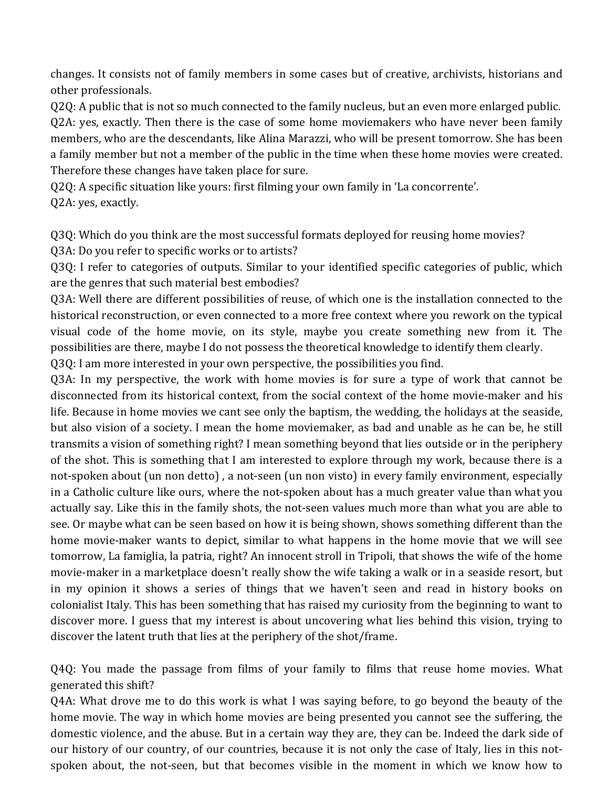changes. It consists not of family members in some cases but of creative, archivists, historians and other professionals.

Q2Q: A public that is not so much connected to the family nucleus, but an even more enlarged public. O2A: yes, exactly. Then there is the case of some home moviemakers who have never been family members, who are the descendants, like Alina Marazzi, who will be present tomorrow. She has been a family member but not a member of the public in the time when these home movies were created. Therefore these changes have taken place for sure.

Q2Q: A specific situation like yours: first filming your own family in 'La concorrente'. Q2A: yes, exactly.

Q3Q: Which do you think are the most successful formats deployed for reusing home movies? Q3A: Do you refer to specific works or to artists?

Q3Q: I refer to categories of outputs. Similar to your identified specific categories of public, which are the genres that such material best embodies?

Q3A: Well there are different possibilities of reuse, of which one is the installation connected to the historical reconstruction, or even connected to a more free context where you rework on the typical visual code of the home movie, on its style, maybe you create something new from it. The possibilities are there, maybe I do not possess the theoretical knowledge to identify them clearly.

Q3Q: I am more interested in your own perspective, the possibilities you find.

Q3A: In my perspective, the work with home movies is for sure a type of work that cannot be disconnected from its historical context, from the social context of the home movie-maker and his life. Because in home movies we cant see only the baptism, the wedding, the holidays at the seaside, but also vision of a society. I mean the home moviemaker, as bad and unable as he can be, he still transmits a vision of something right? I mean something beyond that lies outside or in the periphery of the shot. This is something that I am interested to explore through my work, because there is a not-spoken about (un non detto), a not-seen (un non visto) in every family environment, especially in a Catholic culture like ours, where the not-spoken about has a much greater value than what you actually say. Like this in the family shots, the not-seen values much more than what you are able to see. Or maybe what can be seen based on how it is being shown, shows something different than the home movie-maker wants to depict, similar to what happens in the home movie that we will see tomorrow, La famiglia, la patria, right? An innocent stroll in Tripoli, that shows the wife of the home movie-maker in a marketplace doesn't really show the wife taking a walk or in a seaside resort, but in my opinion it shows a series of things that we haven't seen and read in history books on colonialist Italy. This has been something that has raised my curiosity from the beginning to want to discover more. I guess that my interest is about uncovering what lies behind this vision, trying to discover the latent truth that lies at the periphery of the shot/frame.

Q4Q: You made the passage from films of your family to films that reuse home movies. What generated this shift?

Q4A: What drove me to do this work is what I was saying before, to go beyond the beauty of the home movie. The way in which home movies are being presented you cannot see the suffering, the domestic violence, and the abuse. But in a certain way they are, they can be. Indeed the dark side of our history of our country, of our countries, because it is not only the case of Italy, lies in this notspoken about, the not-seen, but that becomes visible in the moment in which we know how to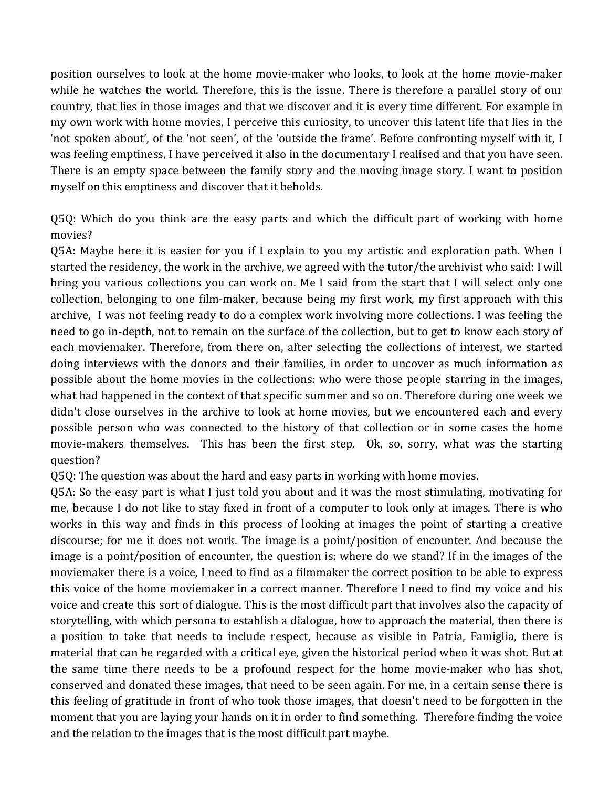position ourselves to look at the home movie-maker who looks, to look at the home movie-maker while he watches the world. Therefore, this is the issue. There is therefore a parallel story of our country, that lies in those images and that we discover and it is every time different. For example in my own work with home movies, I perceive this curiosity, to uncover this latent life that lies in the 'not spoken about', of the 'not seen', of the 'outside the frame'. Before confronting myself with it, I was feeling emptiness, I have perceived it also in the documentary I realised and that you have seen. There is an empty space between the family story and the moving image story. I want to position myself on this emptiness and discover that it beholds.

Q5Q: Which do you think are the easy parts and which the difficult part of working with home movies?

Q5A: Maybe here it is easier for you if I explain to you my artistic and exploration path. When I started the residency, the work in the archive, we agreed with the tutor/the archivist who said: I will bring you various collections you can work on. Me I said from the start that I will select only one collection, belonging to one film-maker, because being my first work, my first approach with this archive, I was not feeling ready to do a complex work involving more collections. I was feeling the need to go in-depth, not to remain on the surface of the collection, but to get to know each story of each moviemaker. Therefore, from there on, after selecting the collections of interest, we started doing interviews with the donors and their families, in order to uncover as much information as possible about the home movies in the collections: who were those people starring in the images, what had happened in the context of that specific summer and so on. Therefore during one week we didn't close ourselves in the archive to look at home movies, but we encountered each and every possible person who was connected to the history of that collection or in some cases the home movie-makers themselves. This has been the first step. Ok, so, sorry, what was the starting question?

Q5Q: The question was about the hard and easy parts in working with home movies.

Q5A: So the easy part is what I just told you about and it was the most stimulating, motivating for me, because I do not like to stay fixed in front of a computer to look only at images. There is who works in this way and finds in this process of looking at images the point of starting a creative discourse; for me it does not work. The image is a point/position of encounter. And because the image is a point/position of encounter, the question is: where do we stand? If in the images of the moviemaker there is a voice, I need to find as a filmmaker the correct position to be able to express this voice of the home moviemaker in a correct manner. Therefore I need to find my voice and his voice and create this sort of dialogue. This is the most difficult part that involves also the capacity of storytelling, with which persona to establish a dialogue, how to approach the material, then there is a position to take that needs to include respect, because as visible in Patria, Famiglia, there is material that can be regarded with a critical eye, given the historical period when it was shot. But at the same time there needs to be a profound respect for the home movie-maker who has shot, conserved and donated these images, that need to be seen again. For me, in a certain sense there is this feeling of gratitude in front of who took those images, that doesn't need to be forgotten in the moment that you are laying your hands on it in order to find something. Therefore finding the voice and the relation to the images that is the most difficult part maybe.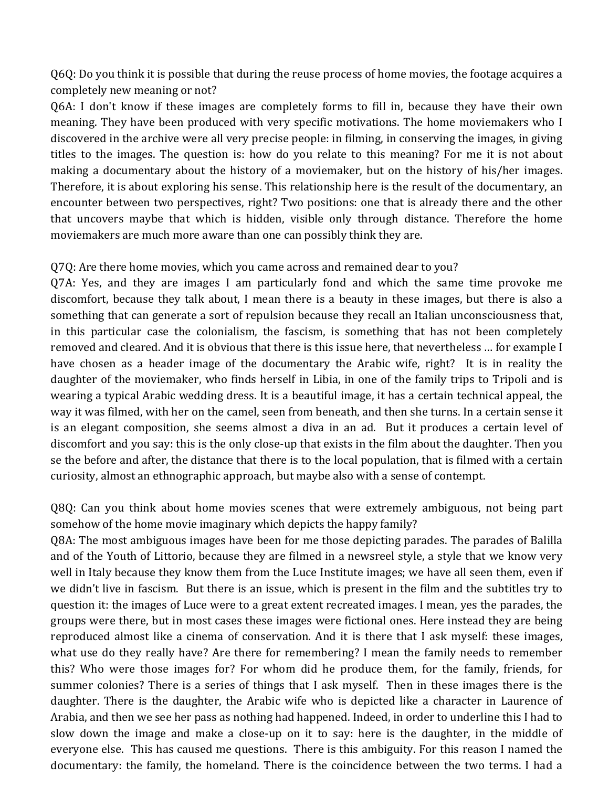Q6Q: Do you think it is possible that during the reuse process of home movies, the footage acquires a completely new meaning or not?

Q6A: I don't know if these images are completely forms to fill in, because they have their own meaning. They have been produced with very specific motivations. The home moviemakers who I discovered in the archive were all very precise people: in filming, in conserving the images, in giving titles to the images. The question is: how do you relate to this meaning? For me it is not about making a documentary about the history of a moviemaker, but on the history of his/her images. Therefore, it is about exploring his sense. This relationship here is the result of the documentary, an encounter between two perspectives, right? Two positions: one that is already there and the other that uncovers maybe that which is hidden, visible only through distance. Therefore the home moviemakers are much more aware than one can possibly think they are.

## Q7Q: Are there home movies, which you came across and remained dear to you?

Q7A: Yes, and they are images I am particularly fond and which the same time provoke me discomfort, because they talk about, I mean there is a beauty in these images, but there is also a something that can generate a sort of repulsion because they recall an Italian unconsciousness that, in this particular case the colonialism, the fascism, is something that has not been completely removed and cleared. And it is obvious that there is this issue here, that nevertheless ... for example I have chosen as a header image of the documentary the Arabic wife, right? It is in reality the daughter of the moviemaker, who finds herself in Libia, in one of the family trips to Tripoli and is wearing a typical Arabic wedding dress. It is a beautiful image, it has a certain technical appeal, the way it was filmed, with her on the camel, seen from beneath, and then she turns. In a certain sense it is an elegant composition, she seems almost a diva in an ad. But it produces a certain level of discomfort and you say: this is the only close-up that exists in the film about the daughter. Then you se the before and after, the distance that there is to the local population, that is filmed with a certain curiosity, almost an ethnographic approach, but maybe also with a sense of contempt.

Q8Q: Can you think about home movies scenes that were extremely ambiguous, not being part somehow of the home movie imaginary which depicts the happy family?

Q8A: The most ambiguous images have been for me those depicting parades. The parades of Balilla and of the Youth of Littorio, because they are filmed in a newsreel style, a style that we know very well in Italy because they know them from the Luce Institute images; we have all seen them, even if we didn't live in fascism. But there is an issue, which is present in the film and the subtitles try to question it: the images of Luce were to a great extent recreated images. I mean, yes the parades, the groups were there, but in most cases these images were fictional ones. Here instead they are being reproduced almost like a cinema of conservation. And it is there that I ask myself: these images, what use do they really have? Are there for remembering? I mean the family needs to remember this? Who were those images for? For whom did he produce them, for the family, friends, for summer colonies? There is a series of things that I ask myself. Then in these images there is the daughter. There is the daughter, the Arabic wife who is depicted like a character in Laurence of Arabia, and then we see her pass as nothing had happened. Indeed, in order to underline this I had to slow down the image and make a close-up on it to say: here is the daughter, in the middle of everyone else. This has caused me questions. There is this ambiguity. For this reason I named the documentary: the family, the homeland. There is the coincidence between the two terms. I had a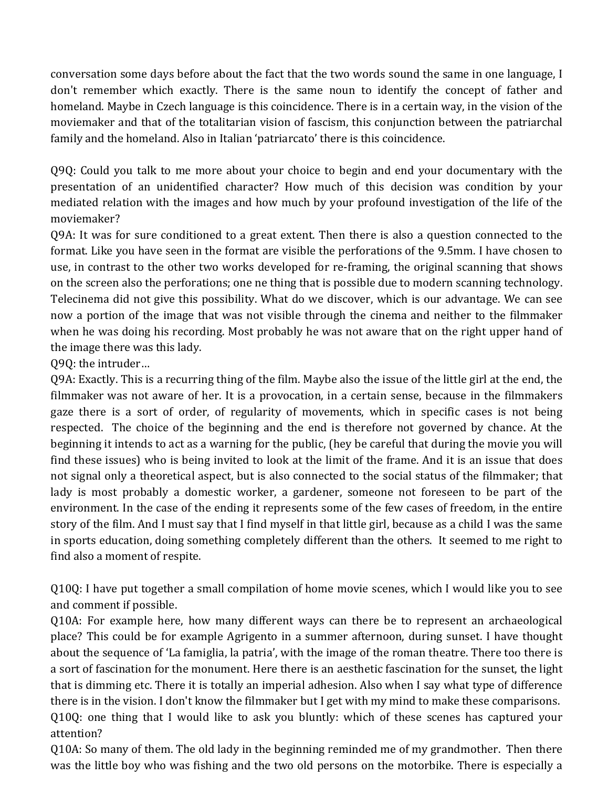conversation some days before about the fact that the two words sound the same in one language, I don't remember which exactly. There is the same noun to identify the concept of father and homeland. Maybe in Czech language is this coincidence. There is in a certain way, in the vision of the moviemaker and that of the totalitarian vision of fascism, this conjunction between the patriarchal family and the homeland. Also in Italian 'patriarcato' there is this coincidence.

Q9Q: Could you talk to me more about your choice to begin and end your documentary with the presentation of an unidentified character? How much of this decision was condition by your mediated relation with the images and how much by your profound investigation of the life of the moviemaker?

Q9A: It was for sure conditioned to a great extent. Then there is also a question connected to the format. Like you have seen in the format are visible the perforations of the 9.5mm. I have chosen to use, in contrast to the other two works developed for re-framing, the original scanning that shows on the screen also the perforations; one ne thing that is possible due to modern scanning technology. Telecinema did not give this possibility. What do we discover, which is our advantage. We can see now a portion of the image that was not visible through the cinema and neither to the filmmaker when he was doing his recording. Most probably he was not aware that on the right upper hand of the image there was this lady.

Q9Q: the intruder...

Q9A: Exactly. This is a recurring thing of the film. Maybe also the issue of the little girl at the end, the filmmaker was not aware of her. It is a provocation, in a certain sense, because in the filmmakers gaze there is a sort of order, of regularity of movements, which in specific cases is not being respected. The choice of the beginning and the end is therefore not governed by chance. At the beginning it intends to act as a warning for the public, (hey be careful that during the movie you will find these issues) who is being invited to look at the limit of the frame. And it is an issue that does not signal only a theoretical aspect, but is also connected to the social status of the filmmaker; that lady is most probably a domestic worker, a gardener, someone not foreseen to be part of the environment. In the case of the ending it represents some of the few cases of freedom, in the entire story of the film. And I must say that I find myself in that little girl, because as a child I was the same in sports education, doing something completely different than the others. It seemed to me right to find also a moment of respite.

Q10Q: I have put together a small compilation of home movie scenes, which I would like you to see and comment if possible.

Q10A: For example here, how many different ways can there be to represent an archaeological place? This could be for example Agrigento in a summer afternoon, during sunset. I have thought about the sequence of 'La famiglia, la patria', with the image of the roman theatre. There too there is a sort of fascination for the monument. Here there is an aesthetic fascination for the sunset, the light that is dimming etc. There it is totally an imperial adhesion. Also when I say what type of difference there is in the vision. I don't know the filmmaker but I get with my mind to make these comparisons. Q10Q: one thing that I would like to ask you bluntly: which of these scenes has captured your attention?

Q10A: So many of them. The old lady in the beginning reminded me of my grandmother. Then there was the little boy who was fishing and the two old persons on the motorbike. There is especially a